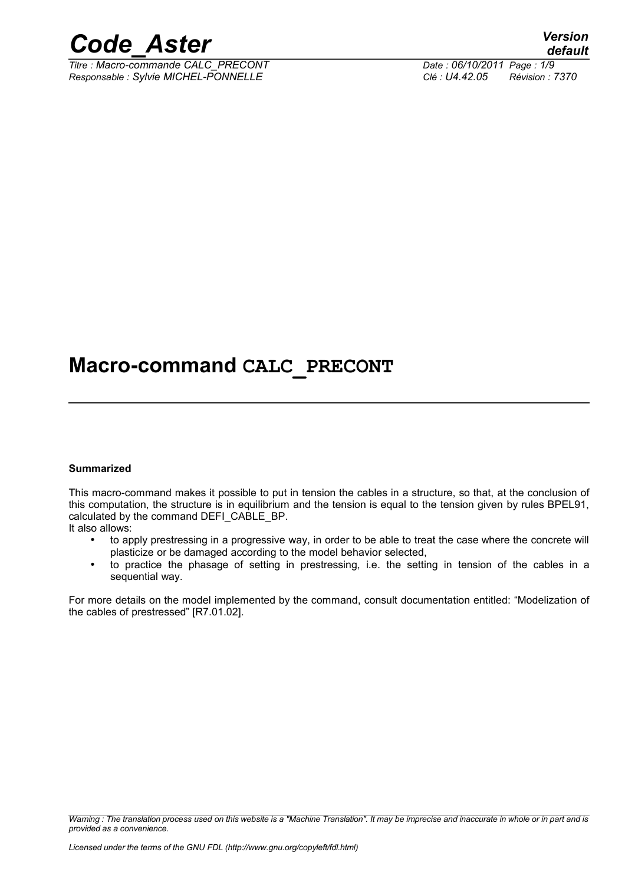

*Titre : Macro-commande CALC\_PRECONT Date : 06/10/2011 Page : 1/9 Responsable : Sylvie MICHEL-PONNELLE Clé : U4.42.05 Révision : 7370*

## **Macro-command CALC\_PRECONT**

#### **Summarized**

This macro-command makes it possible to put in tension the cables in a structure, so that, at the conclusion of this computation, the structure is in equilibrium and the tension is equal to the tension given by rules BPEL91, calculated by the command DEFI\_CABLE\_BP.

It also allows:

- to apply prestressing in a progressive way, in order to be able to treat the case where the concrete will plasticize or be damaged according to the model behavior selected,
- to practice the phasage of setting in prestressing, i.e. the setting in tension of the cables in a sequential way.

For more details on the model implemented by the command, consult documentation entitled: "Modelization of the cables of prestressed" [R7.01.02].

*Warning : The translation process used on this website is a "Machine Translation". It may be imprecise and inaccurate in whole or in part and is provided as a convenience.*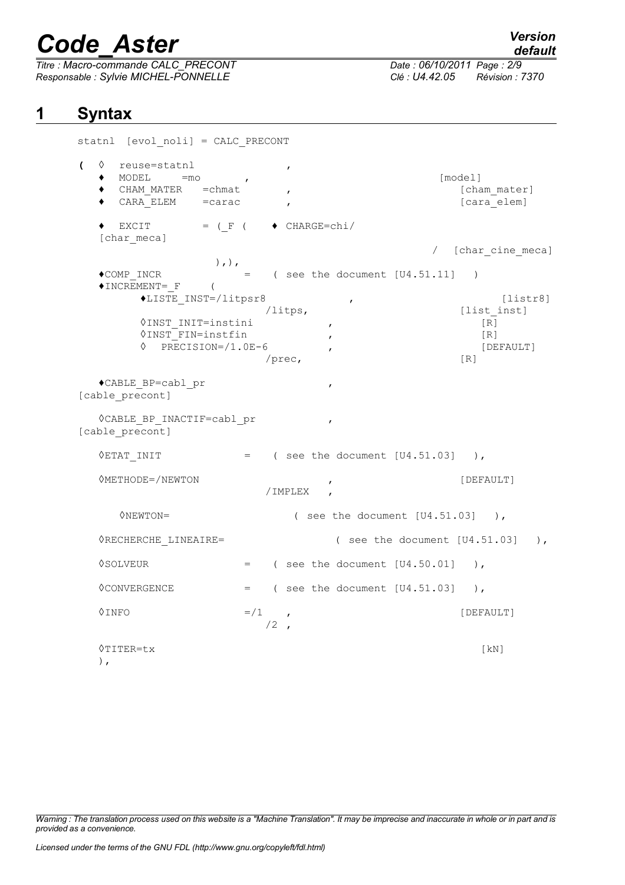**1 Syntax**

*Titre : Macro-commande CALC\_PRECONT Date : 06/10/2011 Page : 2/9 Responsable : Sylvie MICHEL-PONNELLE Clé : U4.42.05 Révision : 7370*

*default*

statnl [evol noli] = CALC PRECONT **(** ◊ reuse=statnl ,  $\begin{array}{ccc} \bullet & \text{MODEL} & =\text{mo} & \bullet, \end{array}$ ♦ CHAM\_MATER =chmat , [cham\_mater] ♦ CARA\_ELEM =carac , [cara\_elem]  $\bullet$  EXCIT = (F (  $\bullet$  CHARGE=chi/ [char meca] / [char\_cine\_meca] ),),  $\bullet$  COMP INCR  $=$  ( see the document [U4.51.11] )  $\blacklozenge$  INCREMENT= F ( ♦LISTE\_INST=/litpsr8 , [listr8] /litps, [list inst] ◊INST\_INIT=instini , [R]  $\sqrt{N}$   $\sqrt{R}$  [R] ◊ PRECISION=/1.0E-6 , [DEFAULT] /prec, [R] ♦CABLE\_BP=cabl\_pr , [cable\_precont] ◊CABLE\_BP\_INACTIF=cabl\_pr , [cable precont]  $\sqrt{2}$ ETAT INIT = ( see the document [U4.51.03] ), ◊METHODE=/NEWTON , [DEFAULT] /IMPLEX , ◊NEWTON= ( see the document [U4.51.03] ),  $\Diamond$ RECHERCHE LINEAIRE= ( see the document [U4.51.03] ),  $\Diamond$ SOLVEUR = ( see the document  $[U4.50.01]$  ),  $\Diamond$ CONVERGENCE = ( see the document  $[U4.51.03]$  ),  $\Diamond$ INFO  $=$ /1 ,  $/2$ , ◊TITER=tx [kN]

),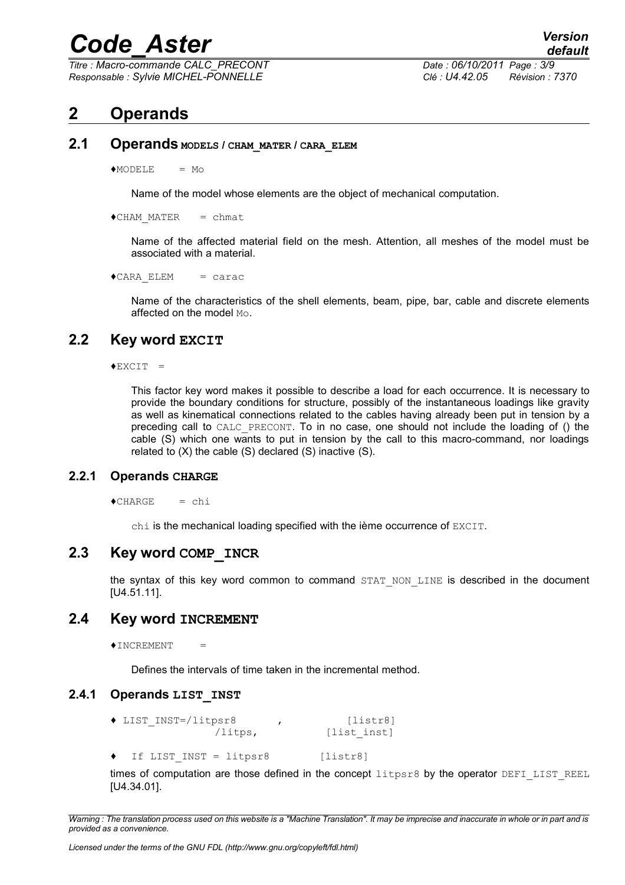*Titre : Macro-commande CALC\_PRECONT Date : 06/10/2011 Page : 3/9 Responsable : Sylvie MICHEL-PONNELLE Clé : U4.42.05 Révision : 7370*

## **2 Operands**

**2.1 Operands MODELS / CHAM\_MATER / CARA\_ELEM** 

 $MODELE = MO$ 

Name of the model whose elements are the object of mechanical computation.

 $\triangle$ CHAM MATER = chmat

Name of the affected material field on the mesh. Attention, all meshes of the model must be associated with a material.

 $\triangle$ CARA ELEM = carac

Name of the characteristics of the shell elements, beam, pipe, bar, cable and discrete elements affected on the model Mo.

### **2.2 Key word EXCIT**

 $\triangle$ EXCIT $=$ 

This factor key word makes it possible to describe a load for each occurrence. It is necessary to provide the boundary conditions for structure, possibly of the instantaneous loadings like gravity as well as kinematical connections related to the cables having already been put in tension by a preceding call to CALC\_PRECONT. To in no case, one should not include the loading of () the cable (S) which one wants to put in tension by the call to this macro-command, nor loadings related to (X) the cable (S) declared (S) inactive (S).

#### **2.2.1 Operands CHARGE**

```
\triangleCHARGE = chi
```
chi is the mechanical loading specified with the ième occurrence of EXCIT.

#### **2.3 Key word COMP\_INCR**

the syntax of this key word common to command STAT NON LINE is described in the document [U4.51.11].

#### **2.4 Key word INCREMENT**

 $\triangle$ INCREMENT =

Defines the intervals of time taken in the incremental method.

#### **2.4.1 Operands LIST\_INST**

- **♦** LIST\_INST=/litpsr8 , [listr8] [list\_inst]
- If LIST INST = litpsr8 [listr8]

times of computation are those defined in the concept  $l$ itpsr8 by the operator DEFI\_LIST\_REEL [U4.34.01].

*Warning : The translation process used on this website is a "Machine Translation". It may be imprecise and inaccurate in whole or in part and is provided as a convenience.*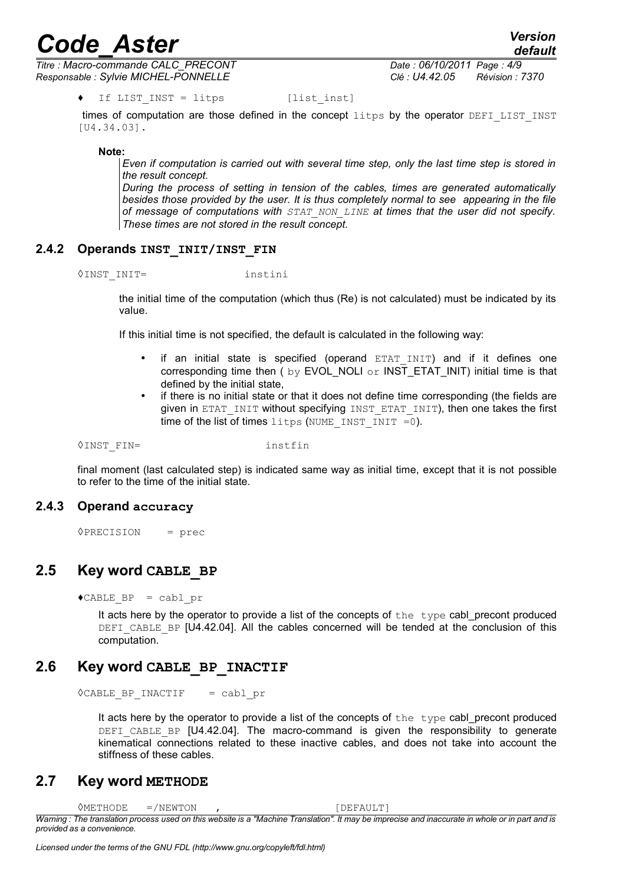*Titre : Macro-commande CALC\_PRECONT Date : 06/10/2011 Page : 4/9 Responsable : Sylvie MICHEL-PONNELLE Clé : U4.42.05 Révision : 7370*

times of computation are those defined in the concept litps by the operator DEFILIST INST [U4.34.03].

**Note:**

*Even if computation is carried out with several time step, only the last time step is stored in the result concept.* 

*During the process of setting in tension of the cables, times are generated automatically besides those provided by the user. It is thus completely normal to see appearing in the file of message of computations with STAT\_NON\_LINE at times that the user did not specify. These times are not stored in the result concept.*

#### **2.4.2 Operands INST\_INIT/INST\_FIN**

◊INST\_INIT= instini

the initial time of the computation (which thus (Re) is not calculated) must be indicated by its value.

If this initial time is not specified, the default is calculated in the following way:

- if an initial state is specified (operand  $ETATINT$ ) and if it defines one corresponding time then ( by EVOL\_NOLI or INST\_ETAT\_INIT) initial time is that defined by the initial state,
- if there is no initial state or that it does not define time corresponding (the fields are given in ETAT\_INIT without specifying INST\_ETAT\_INIT), then one takes the first time of the list of times litps (NUME INST  $INT = 0$ ).

◊INST\_FIN= instfin

final moment (last calculated step) is indicated same way as initial time, except that it is not possible to refer to the time of the initial state.

#### **2.4.3 Operand accuracy**

◊PRECISION = prec

### **2.5 Key word CABLE\_BP**

 $\triangle$ CABLE BP = cabl pr

It acts here by the operator to provide a list of the concepts of the type cabl precont produced DEFI\_CABLE\_BP [U4.42.04]. All the cables concerned will be tended at the conclusion of this computation.

### **2.6 Key word CABLE\_BP\_INACTIF**

◊CABLE\_BP\_INACTIF = cabl\_pr

It acts here by the operator to provide a list of the concepts of the type cabl precont produced DEFI CABLE BP [U4.42.04]. The macro-command is given the responsibility to generate kinematical connections related to these inactive cables, and does not take into account the stiffness of these cables.

#### **2.7 Key word METHODE**

◇METHODE =/NEWTON , SOMETHODE → ONEWTON , SOMETHODE = 2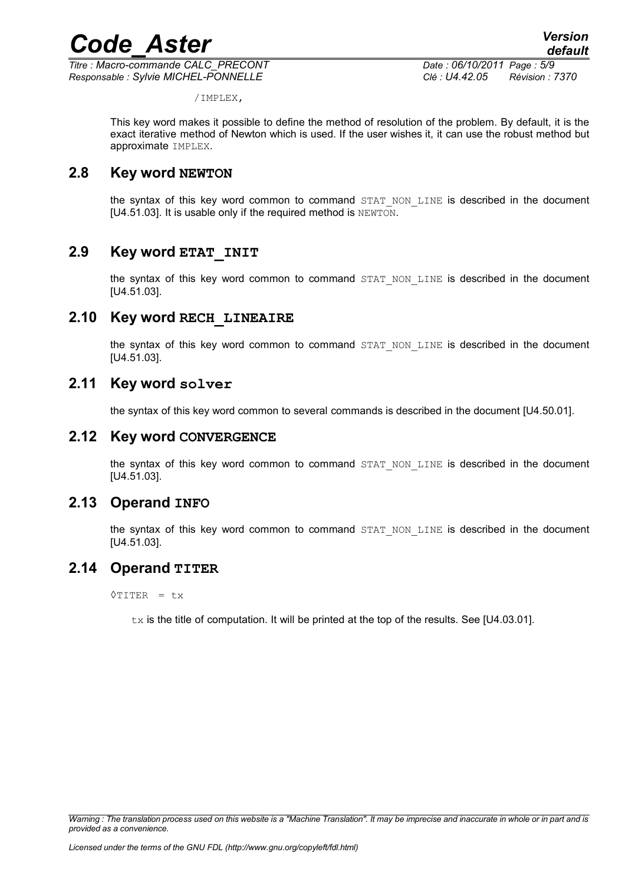*Titre : Macro-commande CALC\_PRECONT Date : 06/10/2011 Page : 5/9 Responsable : Sylvie MICHEL-PONNELLE Clé : U4.42.05 Révision : 7370*

/IMPLEX,

This key word makes it possible to define the method of resolution of the problem. By default, it is the exact iterative method of Newton which is used. If the user wishes it, it can use the robust method but approximate IMPLEX.

## **2.8 Key word NEWTON**

the syntax of this key word common to command STAT NON LINE is described in the document [U4.51.03]. It is usable only if the required method is NEWTON.

## **2.9 Key word ETAT\_INIT**

the syntax of this key word common to command STAT\_NON\_LINE is described in the document [U4.51.03].

### **2.10 Key word RECH\_LINEAIRE**

the syntax of this key word common to command STAT NON LINE is described in the document [U4.51.03].

### **2.11 Key word solver**

the syntax of this key word common to several commands is described in the document [U4.50.01].

#### **2.12 Key word CONVERGENCE**

the syntax of this key word common to command STAT\_NON\_LINE is described in the document [U4.51.03].

### **2.13 Operand INFO**

the syntax of this key word common to command STAT NON LINE is described in the document [U4.51.03].

### **2.14 Operand TITER**

◊TITER = tx

 $tx$  is the title of computation. It will be printed at the top of the results. See [U4.03.01].

*Warning : The translation process used on this website is a "Machine Translation". It may be imprecise and inaccurate in whole or in part and is provided as a convenience.*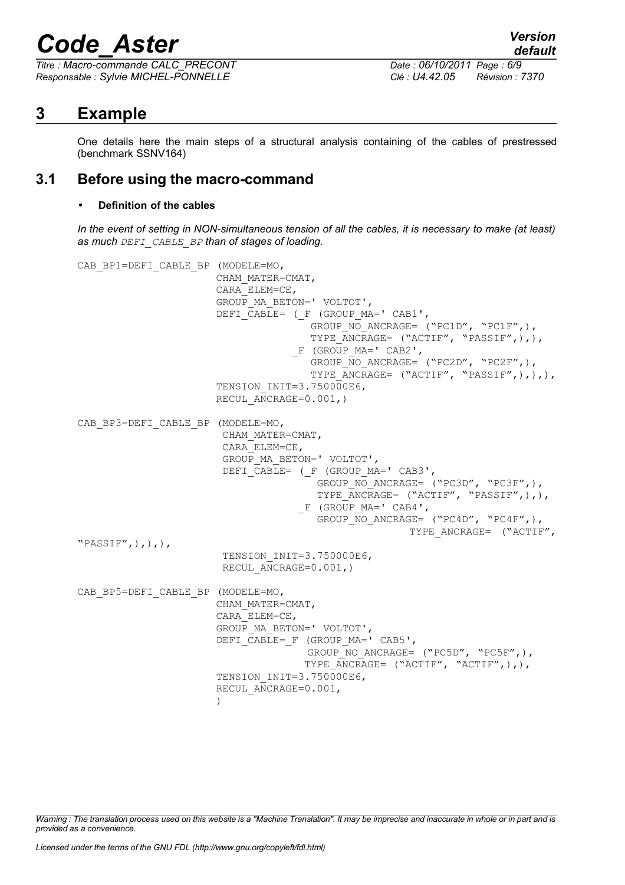*Titre : Macro-commande CALC\_PRECONT Date : 06/10/2011 Page : 6/9 Responsable : Sylvie MICHEL-PONNELLE Clé : U4.42.05 Révision : 7370*

*default*

## **3 Example**

One details here the main steps of a structural analysis containing of the cables of prestressed (benchmark SSNV164)

## **3.1 Before using the macro-command**

#### • **Definition of the cables**

*In the event of setting in NON-simultaneous tension of all the cables, it is necessary to make (at least) as much DEFI\_CABLE\_BP than of stages of loading.*

CAB\_BP1=DEFI\_CABLE\_BP (MODELE=MO, CHAM\_MATER=CMAT, CARA\_ELEM=CE, GROUP\_MA\_BETON=' VOLTOT', DEFI CABLE= ( F (GROUP MA=' CAB1', GROUP NO ANCRAGE= ("PC1D", "PC1F",), TYPE ANCRAGE= ("ACTIF", "PASSIF", ), ), \_F (GROUP\_MA=' CAB2', GROUP NO ANCRAGE= ("PC2D", "PC2F",), TYPE ANCRAGE= ("ACTIF", "PASSIF",),),), TENSION INIT=3.750000E6, RECUL ANCRAGE=0.001,) CAB\_BP3=DEFI\_CABLE\_BP (MODELE=MO, CHAM\_MATER=CMAT, CARA\_ELEM=CE, GROUP\_MA\_BETON=' VOLTOT', DEFI $\overline{C}$ ABLE= (F (GROUP MA=' CAB3', GROUP NO ANCRAGE= ("PC3D", "PC3F",), TYPE ANCRAGE= ("ACTIF", "PASSIF",),), \_F (GROUP\_MA=' CAB4', GROUP NO ANCRAGE= ("PC4D", "PC4F",), TYPE ANCRAGE= ("ACTIF", "PASSIF", $),$ , $),$ TENSION INIT=3.750000E6, RECUL ANCRAGE=0.001,) CAB\_BP5=DEFI\_CABLE\_BP (MODELE=MO, CHAM\_MATER=CMAT, CARA\_ELEM=CE, GROUP\_MA\_BETON=' VOLTOT', DEFI<sup>CABLE=</sup> F (GROUP MA=' CAB5', GROUP NO ANCRAGE=  $("PC5D", "PC5F",),$ TYPE ANCRAGE=  $("ACTIF", "ACTIF",),),$ TENSION INIT=3.750000E6, RECUL ANCRAGE=0.001, )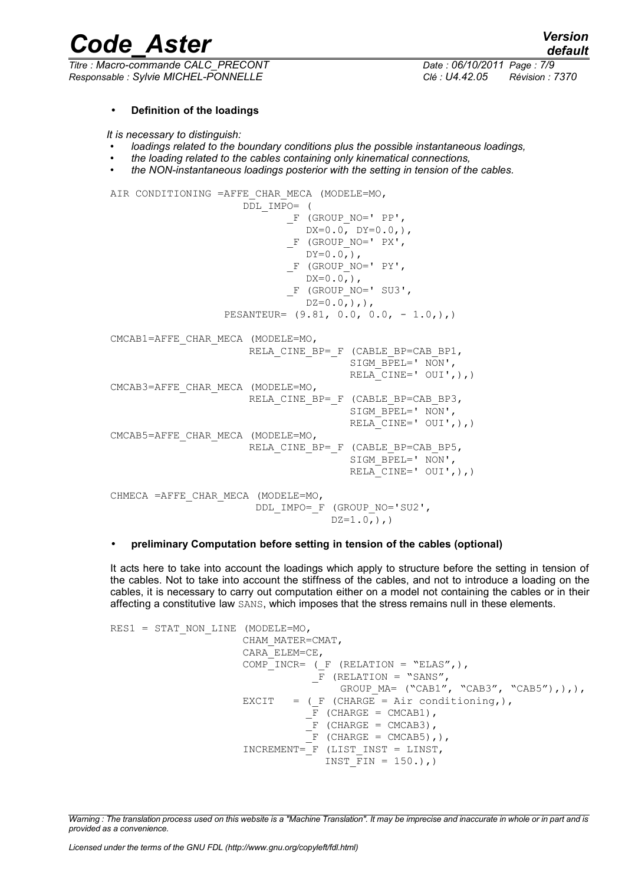*Responsable : Sylvie MICHEL-PONNELLE Clé : U4.42.05 Révision : 7370*

*default Titre : Macro-commande CALC\_PRECONT Date : 06/10/2011 Page : 7/9*

#### • **Definition of the loadings**

*It is necessary to distinguish:*

- *loadings related to the boundary conditions plus the possible instantaneous loadings,*
- *the loading related to the cables containing only kinematical connections,*
- *the NON-instantaneous loadings posterior with the setting in tension of the cables.*

```
AIR CONDITIONING =AFFE CHAR MECA (MODELE=MO,
                      DDL_IMPO= (
                            F (GROUP NO=' PP',
                               DX=0.0, 0, DY=0.0,),
                            F (GROUP NO=' PX',
                              DY=0.0, ),
                             F (GROUP NO=' PY',
                              DX=0.0,),
                             F (GROUP_NO=' SU3',
                              DZ=0.0,),),
                  PESANTEUR= (9.81, 0.0, 0.0, -1.0)CMCAB1=AFFE_CHAR_MECA (MODELE=MO, 
                      RELA CINE BP= F (CABLE BP=CAB BP1,
                                       SIGM_BPEL=' NON',
                                       RELA CINE=' OUI',),)
CMCAB3=AFFE_CHAR_MECA (MODELE=MO, 
                      RELA CINE BP= F (CABLE BP=CAB BP3,
                                       SIGM BPEL=' NON',
                                       RELA CINE=' OUI',),)
CMCAB5=AFFE_CHAR_MECA (MODELE=MO, 
                      RELA CINE BP= F (CABLE BP=CAB BP5,
                                       SIGM_BPEL=' NON',
                                       RELA CINE=' OUI',),)
CHMECA =AFFE_CHAR_MECA (MODELE=MO, 
                        DDL_IMPO=_F (GROUP_NO='SU2', 
                                    DZ=1.0,),
```
#### • **preliminary Computation before setting in tension of the cables (optional)**

It acts here to take into account the loadings which apply to structure before the setting in tension of the cables. Not to take into account the stiffness of the cables, and not to introduce a loading on the cables, it is necessary to carry out computation either on a model not containing the cables or in their affecting a constitutive law SANS, which imposes that the stress remains null in these elements.

```
RES1 = STAT_NON_LINE (MODELE=MO,
                         CHAM_MATER=CMAT, 
                         CARA_ELEM=CE, 
                        COMP INCR= (F (RELATION = "ELAS",),
                                     \overline{F} (RELATION = "SANS",
                                           GROUP MA= ("CAB1", "CAB3", "CAB5"),),),
                        EXCIT = (F (CHARGE = Air conditioning,),
                                    \overline{F} (CHARGE = CMCAB1),
                                    -F (CHARGE = CMCAB3),
                                     \overline{F} (CHARGE = CMCAB5), ),
                          INCREMENT=_F (LIST_INST = LINST, 
                                        INST \overline{F}IN = 150.),)
```
*Warning : The translation process used on this website is a "Machine Translation". It may be imprecise and inaccurate in whole or in part and is provided as a convenience.*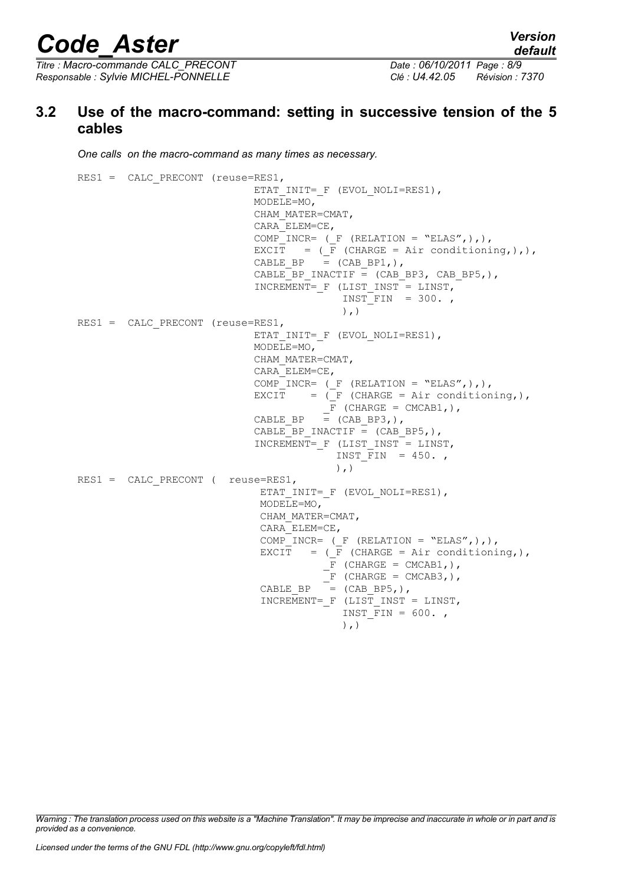*Titre : Macro-commande CALC\_PRECONT Date : 06/10/2011 Page : 8/9 Responsable : Sylvie MICHEL-PONNELLE Clé : U4.42.05 Révision : 7370*

## **3.2 Use of the macro-command: setting in successive tension of the 5 cables**

*One calls on the macro-command as many times as necessary.*

RES1 = CALC PRECONT (reuse=RES1, ETAT\_INIT=\_F (EVOL\_NOLI=RES1), MODELE=MO, CHAM\_MATER=CMAT, CARA\_ELEM=CE, COMP INCR= ( $F$  (RELATION = "ELAS",),), EXCIT = ( $F$  (CHARGE = Air conditioning,),), CABLE BP  $=$  (CAB BP1,), CABLE BP INACTIF =  $(CAB$  BP3,  $CAB$  BP5,), INCREMENT= F (LIST INST = LINST, INST FIN =  $300.$  $)$ ,  $)$ RES1 = CALC PRECONT (reuse=RES1, ETAT\_INIT=  $F$  (EVOL NOLI=RES1), MODELE=MO, CHAM\_MATER=CMAT, CARA\_ELEM=CE, COMP INCR= ( $F$  (RELATION = "ELAS",),), EXCIT =  $($  F (CHARGE = Air conditioning,),  $\overline{F}$  (CHARGE = CMCAB1,),<br>CABLE BP = (CAB BP3,),  $=$  (CAB BP3,), CABLE BP INACTIF =  $(CAB$  BP5,), INCREMENT= F (LIST INST = LINST, INST FIN =  $450.$  $\left( \begin{array}{c} \cdot \\ \cdot \end{array} \right)$ RES1 = CALC PRECONT ( reuse=RES1, ETAT\_INIT=\_F (EVOL\_NOLI=RES1), MODELE=MO, CHAM\_MATER=CMAT, CARA\_ELEM=CE, COMP INCR=  $($  F (RELATION = "ELAS", ), ), EXCIT =  $(\overline{F}$  (CHARGE = Air conditioning,),  $-F$  (CHARGE = CMCAB1,),  $F$  (CHARGE = CMCAB3,),  $CABLE_BP = (CAB_BP,),$  INCREMENT=\_F (LIST\_INST = LINST, INST FIN =  $600.$ ,  $)$ ,  $)$